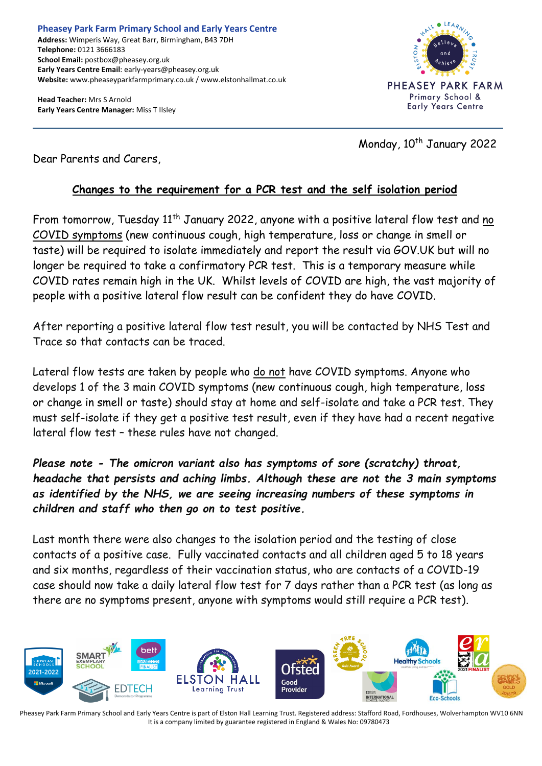**Head Teacher:** Mrs S Arnold **Early Years Centre Manager:** Miss T Ilsley



Monday, 10<sup>th</sup> January 2022

Dear Parents and Carers,

## **Changes to the requirement for a PCR test and the self isolation period**

From tomorrow, Tuesday 11<sup>th</sup> January 2022, anyone with a positive lateral flow test and no COVID symptoms (new continuous cough, high temperature, loss or change in smell or taste) will be required to isolate immediately and report the result via GOV.UK but will no longer be required to take a confirmatory PCR test. This is a temporary measure while COVID rates remain high in the UK. Whilst levels of COVID are high, the vast majority of people with a positive lateral flow result can be confident they do have COVID.

After reporting a positive lateral flow test result, you will be contacted by NHS Test and Trace so that contacts can be traced.

Lateral flow tests are taken by people who do not have COVID symptoms. Anyone who develops 1 of the 3 main COVID symptoms (new continuous cough, high temperature, loss or change in smell or taste) should stay at home and self-isolate and take a PCR test. They must self-isolate if they get a positive test result, even if they have had a recent negative lateral flow test – these rules have not changed.

*Please note - The omicron variant also has symptoms of sore (scratchy) throat, headache that persists and aching limbs. Although these are not the 3 main symptoms as identified by the NHS, we are seeing increasing numbers of these symptoms in children and staff who then go on to test positive.* 

Last month there were also changes to the isolation period and the testing of close contacts of a positive case. Fully vaccinated contacts and all children aged 5 to 18 years and six months, regardless of their vaccination status, who are contacts of a COVID-19 case should now take a daily lateral flow test for 7 days rather than a PCR test (as long as there are no symptoms present, anyone with symptoms would still require a PCR test).



Pheasey Park Farm Primary School and Early Years Centre is part of Elston Hall Learning Trust. Registered address: Stafford Road, Fordhouses, Wolverhampton WV10 6NN It is a company limited by guarantee registered in England & Wales No: 09780473